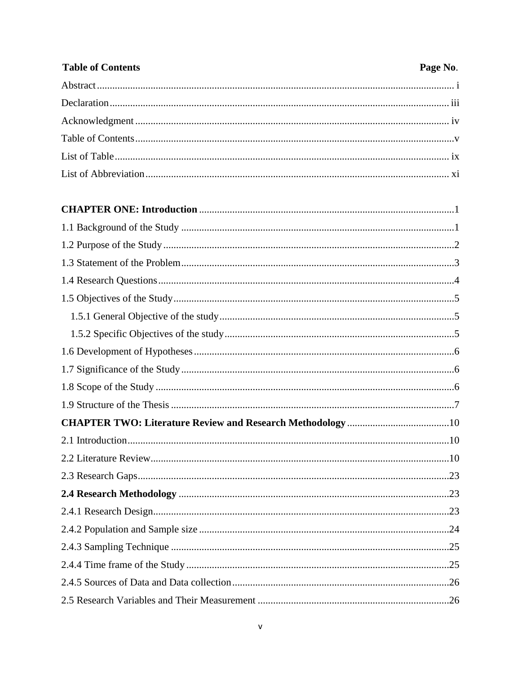## **Table of Contents** Page No.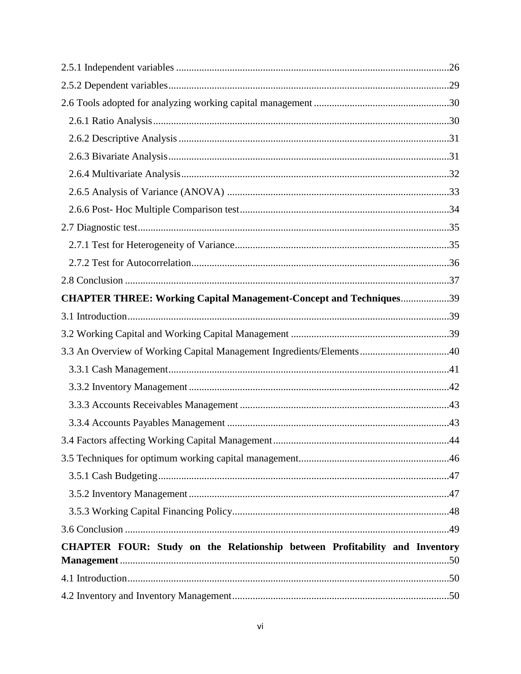| <b>CHAPTER THREE: Working Capital Management-Concept and Techniques39</b>   |  |
|-----------------------------------------------------------------------------|--|
|                                                                             |  |
|                                                                             |  |
| 3.3 An Overview of Working Capital Management Ingredients/Elements40        |  |
|                                                                             |  |
|                                                                             |  |
|                                                                             |  |
|                                                                             |  |
|                                                                             |  |
|                                                                             |  |
|                                                                             |  |
|                                                                             |  |
|                                                                             |  |
|                                                                             |  |
| CHAPTER FOUR: Study on the Relationship between Profitability and Inventory |  |
|                                                                             |  |
|                                                                             |  |